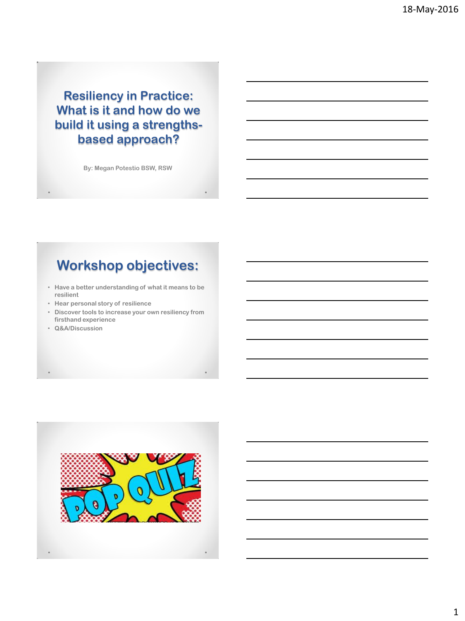**Resiliency in Practice: What is it and how do we build it using a strengthsbased approach?**

**By: Megan Potestio BSW, RSW**

### **Workshop objectives:**

- **Have a better understanding of what it means to be resilient**
- **Hear personal story of resilience**
- **Discover tools to increase your own resiliency from firsthand experience**
- **Q&A/Discussion**

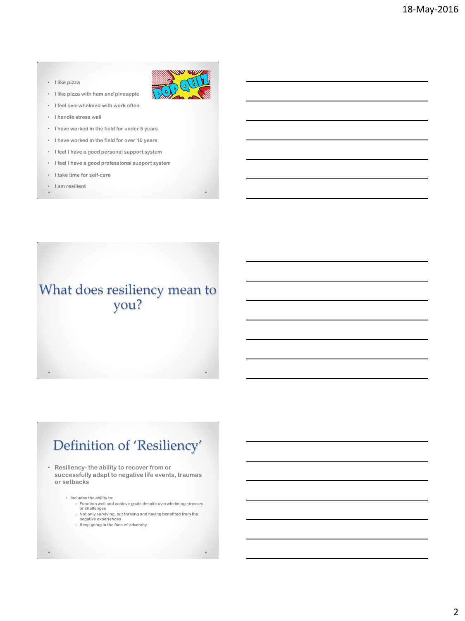#### • **I like pizza**

- **I like pizza with ham and pineapple**
- **I feel overwhelmed with work often**
- **I handle stress well**
- **I have worked in the field for under 5 years**
- **I have worked in the field for over 10 years**
- **I feel I have a good personal support system**
- **I feel I have a good professional support system**
- **I take time for self-care**
- **I am resilient**

#### What does resiliency mean to you?

# Definition of 'Resiliency'

• **Resiliency- the ability to recover from or successfully adapt to negative life events, traumas or setbacks**

- **Includes the ability to:**
	- o **Function well and achieve goals despite overwhelming stresses or challenges** o **Not only surviving, but thriving and having benefited from the**
	- **negative experiences**
	- o **Keep going in the face of adversity**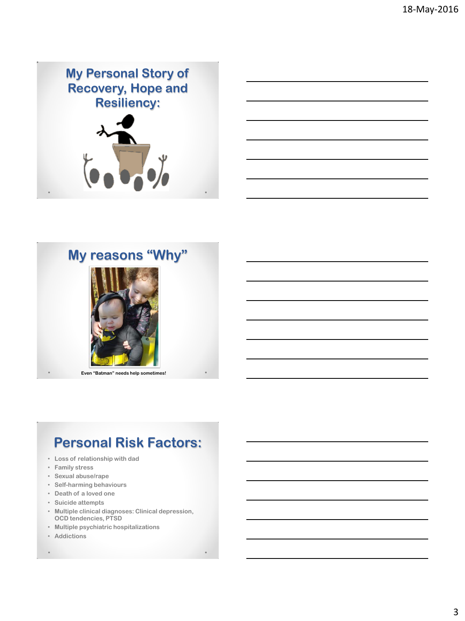



# **My reasons "Why"**



**Even "Batman" needs help sometimes!**

### **Personal Risk Factors:**

- **Loss of relationship with dad**
- **Family stress**
- **Sexual abuse/rape**
- **Self-harming behaviours**
- **Death of a loved one**
- **Suicide attempts**
- **Multiple clinical diagnoses: Clinical depression, OCD tendencies, PTSD**
- **Multiple psychiatric hospitalizations**
- **Addictions**
-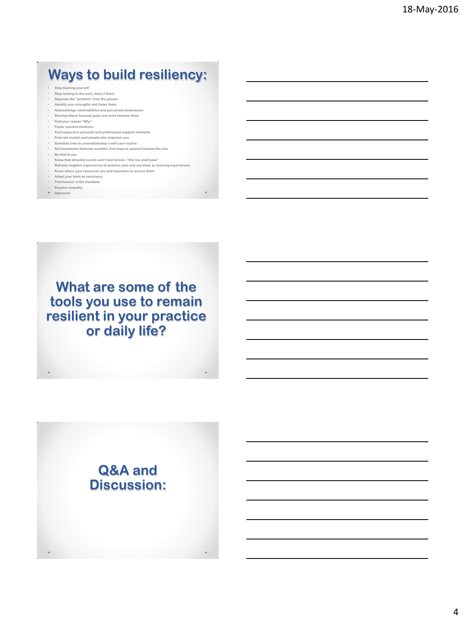# **Ways to build resiliency:**

- **Stop blaming yourself**
- **Stop looking to the past, leave it there**
- **Separate the "problem" from the person**
- **Identify your strengths and foster them Acknowledge vulnerabilities and perceived weaknesses**
- **Develop future focused goals and work towards them**
- **Find your reason "Why"**
- **Foster positive emotions**
- **Find supportive personal and professional support networks** • **Find role models and people who empower you**
- **Schedule time to unwind/develop a self-care routine**
- **Set boundaries between work/life, find ways to unwind between the two**
- 
- **Be kind to you Know that stressful events won't last forever- "this too shall pass"**
- **Reframe negative experiences to positive ones and use them as learning experiences** • **Know where your resources are and how/when to access them**
- 
- **Adapt your tools as necessary Find humour in the mundane**
- **Practice empathy**
- **Improvise**

**What are some of the tools you use to remain resilient in your practice or daily life?**

#### **Q&A and Discussion:**